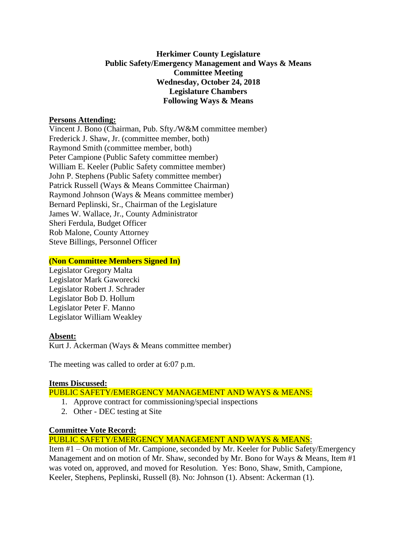# **Herkimer County Legislature Public Safety/Emergency Management and Ways & Means Committee Meeting Wednesday, October 24, 2018 Legislature Chambers Following Ways & Means**

#### **Persons Attending:**

Vincent J. Bono (Chairman, Pub. Sfty./W&M committee member) Frederick J. Shaw, Jr. (committee member, both) Raymond Smith (committee member, both) Peter Campione (Public Safety committee member) William E. Keeler (Public Safety committee member) John P. Stephens (Public Safety committee member) Patrick Russell (Ways & Means Committee Chairman) Raymond Johnson (Ways & Means committee member) Bernard Peplinski, Sr., Chairman of the Legislature James W. Wallace, Jr., County Administrator Sheri Ferdula, Budget Officer Rob Malone, County Attorney Steve Billings, Personnel Officer

#### **(Non Committee Members Signed In)**

Legislator Gregory Malta Legislator Mark Gaworecki Legislator Robert J. Schrader Legislator Bob D. Hollum Legislator Peter F. Manno Legislator William Weakley

# **Absent:**

Kurt J. Ackerman (Ways & Means committee member)

The meeting was called to order at 6:07 p.m.

# **Items Discussed:**

PUBLIC SAFETY/EMERGENCY MANAGEMENT AND WAYS & MEANS:

- 1. Approve contract for commissioning/special inspections
- 2. Other DEC testing at Site

# **Committee Vote Record:**

PUBLIC SAFETY/EMERGENCY MANAGEMENT AND WAYS & MEANS:

Item #1 – On motion of Mr. Campione, seconded by Mr. Keeler for Public Safety/Emergency Management and on motion of Mr. Shaw, seconded by Mr. Bono for Ways & Means, Item #1 was voted on, approved, and moved for Resolution. Yes: Bono, Shaw, Smith, Campione, Keeler, Stephens, Peplinski, Russell (8). No: Johnson (1). Absent: Ackerman (1).